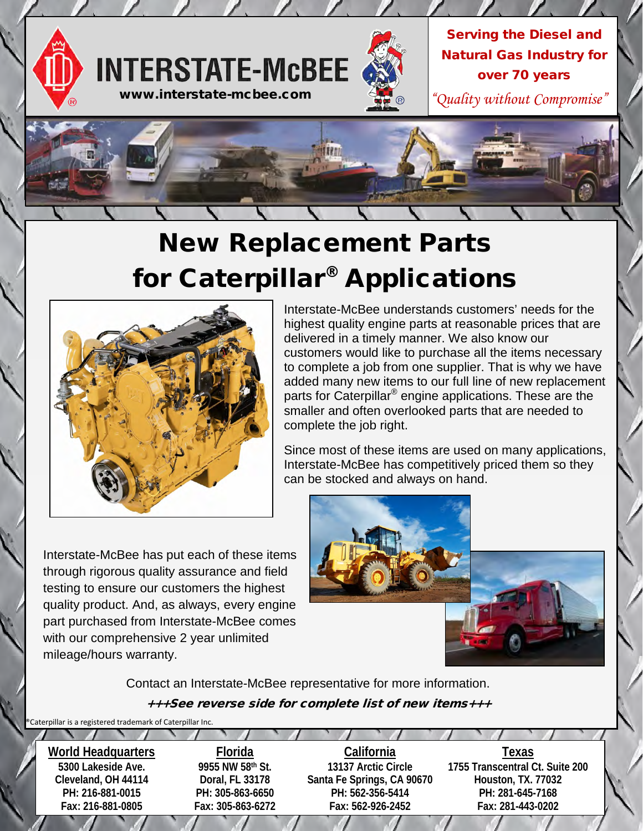

## New Replacement Parts for Caterpillar® Applications



Interstate-McBee understands customers' needs for the highest quality engine parts at reasonable prices that are delivered in a timely manner. We also know our customers would like to purchase all the items necessary to complete a job from one supplier. That is why we have added many new items to our full line of new replacement parts for Caterpillar<sup>®</sup> engine applications. These are the smaller and often overlooked parts that are needed to complete the job right.

Since most of these items are used on many applications, Interstate-McBee has competitively priced them so they can be stocked and always on hand.

Interstate-McBee has put each of these items through rigorous quality assurance and field testing to ensure our customers the highest quality product. And, as always, every engine part purchased from Interstate-McBee comes with our comprehensive 2 year unlimited mileage/hours warranty.



+++See reverse side for complete list of new items+++ Contact an Interstate-McBee representative for more information.

Caterpillar is a registered trademark of Caterpillar Inc.

**World Headquarters 5300 Lakeside Ave. Cleveland, OH 44114 PH: 216-881-0015 Fax: 216-881-0805 Florida 9955 NW 58th St. Doral, FL 33178 PH: 305-863-6650 Fax: 305-863-6272 California 13137 Arctic Circle Santa Fe Springs, CA 90670 PH: 562-356-5414 Fax: 562-926-2452 Texas 1755 Transcentral Ct. Suite 200 Houston, TX. 77032 PH: 281-645-7168 Fax: 281-443-0202**